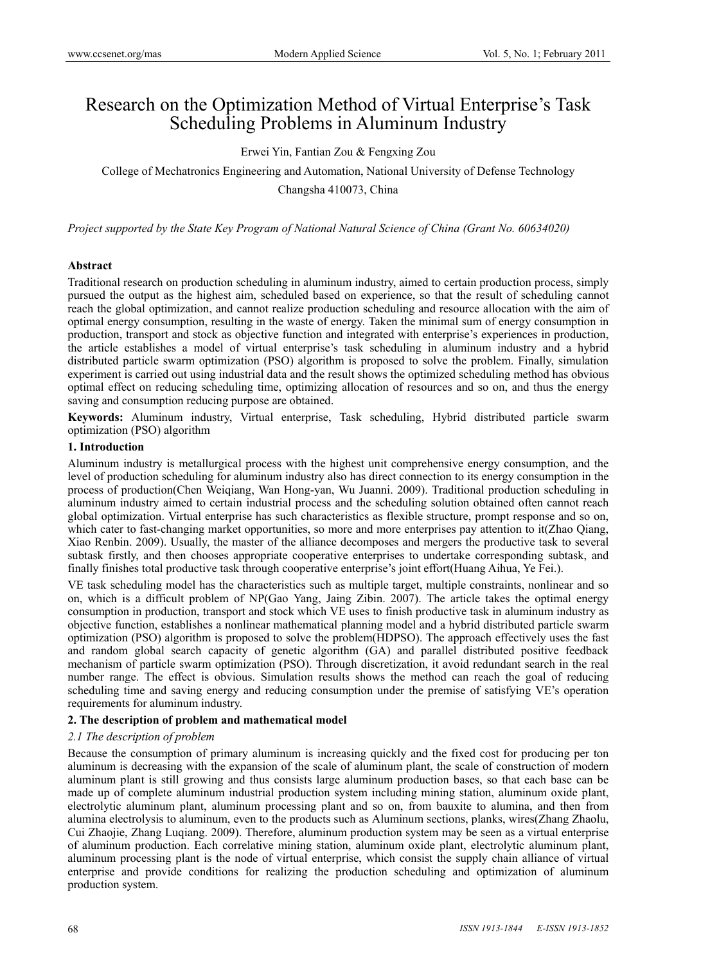# Research on the Optimization Method of Virtual Enterprise's Task Scheduling Problems in Aluminum Industry

Erwei Yin, Fantian Zou & Fengxing Zou

College of Mechatronics Engineering and Automation, National University of Defense Technology Changsha 410073, China

*Project supported by the State Key Program of National Natural Science of China (Grant No. 60634020)* 

## **Abstract**

Traditional research on production scheduling in aluminum industry, aimed to certain production process, simply pursued the output as the highest aim, scheduled based on experience, so that the result of scheduling cannot reach the global optimization, and cannot realize production scheduling and resource allocation with the aim of optimal energy consumption, resulting in the waste of energy. Taken the minimal sum of energy consumption in production, transport and stock as objective function and integrated with enterprise's experiences in production, the article establishes a model of virtual enterprise's task scheduling in aluminum industry and a hybrid distributed particle swarm optimization (PSO) algorithm is proposed to solve the problem. Finally, simulation experiment is carried out using industrial data and the result shows the optimized scheduling method has obvious optimal effect on reducing scheduling time, optimizing allocation of resources and so on, and thus the energy saving and consumption reducing purpose are obtained.

**Keywords:** Aluminum industry, Virtual enterprise, Task scheduling, Hybrid distributed particle swarm optimization (PSO) algorithm

## **1. Introduction**

Aluminum industry is metallurgical process with the highest unit comprehensive energy consumption, and the level of production scheduling for aluminum industry also has direct connection to its energy consumption in the process of production(Chen Weiqiang, Wan Hong-yan, Wu Juanni. 2009). Traditional production scheduling in aluminum industry aimed to certain industrial process and the scheduling solution obtained often cannot reach global optimization. Virtual enterprise has such characteristics as flexible structure, prompt response and so on, which cater to fast-changing market opportunities, so more and more enterprises pay attention to it(Zhao Qiang, Xiao Renbin. 2009). Usually, the master of the alliance decomposes and mergers the productive task to several subtask firstly, and then chooses appropriate cooperative enterprises to undertake corresponding subtask, and finally finishes total productive task through cooperative enterprise's joint effort(Huang Aihua, Ye Fei.).

VE task scheduling model has the characteristics such as multiple target, multiple constraints, nonlinear and so on, which is a difficult problem of NP(Gao Yang, Jaing Zibin. 2007). The article takes the optimal energy consumption in production, transport and stock which VE uses to finish productive task in aluminum industry as objective function, establishes a nonlinear mathematical planning model and a hybrid distributed particle swarm optimization (PSO) algorithm is proposed to solve the problem(HDPSO). The approach effectively uses the fast and random global search capacity of genetic algorithm (GA) and parallel distributed positive feedback mechanism of particle swarm optimization (PSO). Through discretization, it avoid redundant search in the real number range. The effect is obvious. Simulation results shows the method can reach the goal of reducing scheduling time and saving energy and reducing consumption under the premise of satisfying VE's operation requirements for aluminum industry.

## **2. The description of problem and mathematical model**

## *2.1 The description of problem*

Because the consumption of primary aluminum is increasing quickly and the fixed cost for producing per ton aluminum is decreasing with the expansion of the scale of aluminum plant, the scale of construction of modern aluminum plant is still growing and thus consists large aluminum production bases, so that each base can be made up of complete aluminum industrial production system including mining station, aluminum oxide plant, electrolytic aluminum plant, aluminum processing plant and so on, from bauxite to alumina, and then from alumina electrolysis to aluminum, even to the products such as Aluminum sections, planks, wires(Zhang Zhaolu, Cui Zhaojie, Zhang Luqiang. 2009). Therefore, aluminum production system may be seen as a virtual enterprise of aluminum production. Each correlative mining station, aluminum oxide plant, electrolytic aluminum plant, aluminum processing plant is the node of virtual enterprise, which consist the supply chain alliance of virtual enterprise and provide conditions for realizing the production scheduling and optimization of aluminum production system.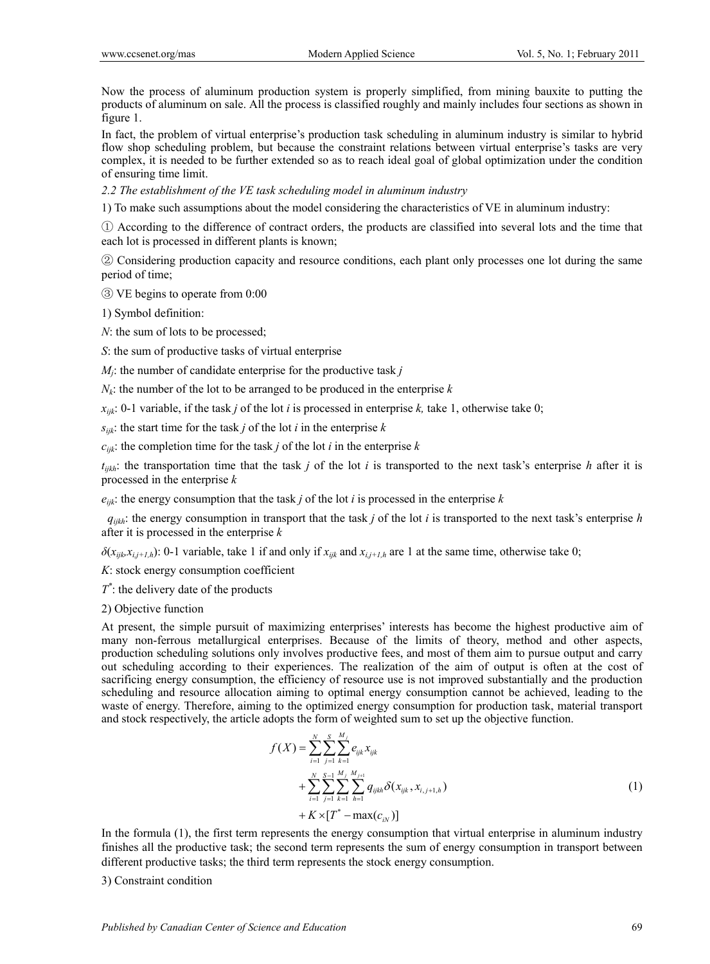Now the process of aluminum production system is properly simplified, from mining bauxite to putting the products of aluminum on sale. All the process is classified roughly and mainly includes four sections as shown in figure 1.

In fact, the problem of virtual enterprise's production task scheduling in aluminum industry is similar to hybrid flow shop scheduling problem, but because the constraint relations between virtual enterprise's tasks are very complex, it is needed to be further extended so as to reach ideal goal of global optimization under the condition of ensuring time limit.

*2.2 The establishment of the VE task scheduling model in aluminum industry* 

1) To make such assumptions about the model considering the characteristics of VE in aluminum industry:

① According to the difference of contract orders, the products are classified into several lots and the time that each lot is processed in different plants is known;

② Considering production capacity and resource conditions, each plant only processes one lot during the same period of time;

③ VE begins to operate from 0:00

1) Symbol definition:

*N*: the sum of lots to be processed;

*S*: the sum of productive tasks of virtual enterprise

*Mj*: the number of candidate enterprise for the productive task *j* 

 $N_k$ : the number of the lot to be arranged to be produced in the enterprise  $k$ 

 $x_{ijk}$ : 0-1 variable, if the task *j* of the lot *i* is processed in enterprise *k*, take 1, otherwise take 0;

*sijk*: the start time for the task *j* of the lot *i* in the enterprise *k*

 $c_{ijk}$ : the completion time for the task *j* of the lot *i* in the enterprise *k* 

 $t_{iikh}$ : the transportation time that the task *j* of the lot *i* is transported to the next task's enterprise *h* after it is processed in the enterprise *k* 

 $e_{ijk}$ : the energy consumption that the task *j* of the lot *i* is processed in the enterprise *k* 

 *qijkh*: the energy consumption in transport that the task *j* of the lot *i* is transported to the next task's enterprise *h*  after it is processed in the enterprise *k* 

 $\delta(x_{ijk},x_{i,j+1,h})$ : 0-1 variable, take 1 if and only if  $x_{ijk}$  and  $x_{i,j+1,h}$  are 1 at the same time, otherwise take 0;

*K*: stock energy consumption coefficient

*T\** : the delivery date of the products

2) Objective function

At present, the simple pursuit of maximizing enterprises' interests has become the highest productive aim of many non-ferrous metallurgical enterprises. Because of the limits of theory, method and other aspects, production scheduling solutions only involves productive fees, and most of them aim to pursue output and carry out scheduling according to their experiences. The realization of the aim of output is often at the cost of sacrificing energy consumption, the efficiency of resource use is not improved substantially and the production scheduling and resource allocation aiming to optimal energy consumption cannot be achieved, leading to the waste of energy. Therefore, aiming to the optimized energy consumption for production task, material transport and stock respectively, the article adopts the form of weighted sum to set up the objective function.

$$
f(X) = \sum_{i=1}^{N} \sum_{j=1}^{S} \sum_{k=1}^{M_j} e_{ijk} x_{ijk}
$$
  
+ 
$$
\sum_{i=1}^{N} \sum_{j=1}^{S-1} \sum_{k=1}^{M_j} \sum_{j=1}^{M_{j+1}} q_{ijkh} \delta(x_{ijk}, x_{i,j+1,h})
$$
  
+ 
$$
K \times [T^* - \max(c_{ik})]
$$
 (1)

In the formula (1), the first term represents the energy consumption that virtual enterprise in aluminum industry finishes all the productive task; the second term represents the sum of energy consumption in transport between different productive tasks; the third term represents the stock energy consumption.

3) Constraint condition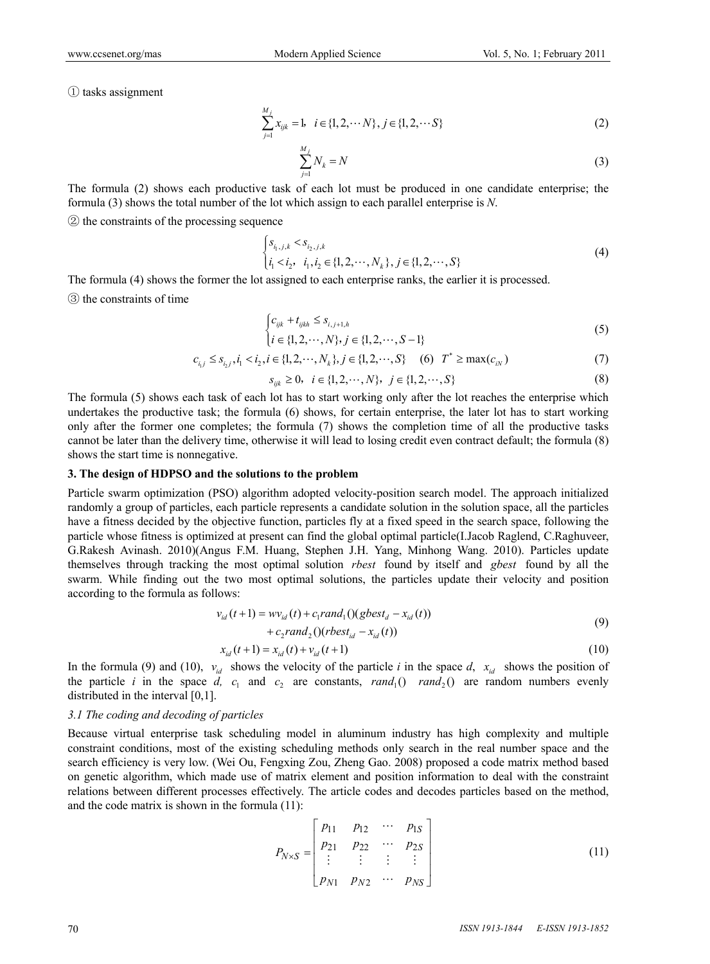① tasks assignment

$$
\sum_{j=1}^{M_j} x_{ijk} = 1, \quad i \in \{1, 2, \cdots N\}, j \in \{1, 2, \cdots S\}
$$
 (2)

$$
\sum_{j=1}^{M_j} N_k = N \tag{3}
$$

The formula (2) shows each productive task of each lot must be produced in one candidate enterprise; the formula (3) shows the total number of the lot which assign to each parallel enterprise is *N*.

② the constraints of the processing sequence

$$
\begin{cases} S_{i_1,j,k} < S_{i_2,j,k} \\ i_1 < i_2, \quad i_1, i_2 \in \{1, 2, \cdots, N_k\}, j \in \{1, 2, \cdots, S\} \end{cases} \tag{4}
$$

The formula (4) shows the former the lot assigned to each enterprise ranks, the earlier it is processed. ③ the constraints of time

$$
\begin{cases} c_{ijk} + t_{ijkh} \leq s_{i,j+1,h} \\ i \in \{1, 2, \cdots, N\}, j \in \{1, 2, \cdots, S-1\} \end{cases}
$$
 (5)

$$
c_{i,j} \le s_{i_2j}, i_1 < i_2, i \in \{1, 2, \cdots, N_k\}, j \in \{1, 2, \cdots, S\} \quad (6) \quad T^* \ge \max(c_{iN}) \tag{7}
$$

$$
s_{ijk} \ge 0, \quad i \in \{1, 2, \cdots, N\}, \quad j \in \{1, 2, \cdots, S\}
$$
 (8)

The formula (5) shows each task of each lot has to start working only after the lot reaches the enterprise which undertakes the productive task; the formula (6) shows, for certain enterprise, the later lot has to start working only after the former one completes; the formula (7) shows the completion time of all the productive tasks cannot be later than the delivery time, otherwise it will lead to losing credit even contract default; the formula (8) shows the start time is nonnegative.

#### **3. The design of HDPSO and the solutions to the problem**

Particle swarm optimization (PSO) algorithm adopted velocity-position search model. The approach initialized randomly a group of particles, each particle represents a candidate solution in the solution space, all the particles have a fitness decided by the objective function, particles fly at a fixed speed in the search space, following the particle whose fitness is optimized at present can find the global optimal particle(I.Jacob Raglend, C.Raghuveer, G.Rakesh Avinash. 2010)(Angus F.M. Huang, Stephen J.H. Yang, Minhong Wang. 2010). Particles update themselves through tracking the most optimal solution *rbest* found by itself and *gbest* found by all the swarm. While finding out the two most optimal solutions, the particles update their velocity and position according to the formula as follows:

$$
v_{id}(t+1) = w v_{id}(t) + c_1 rand_1((gbest_d - x_{id}(t))
$$
\n(9)

$$
+c_1\text{rand}_2()
$$
( $\text{rbest}_{id} - x_{id}(t)$ )

$$
x_{id}(t+1) = x_{id}(t) + v_{id}(t+1)
$$
\n(10)

In the formula (9) and (10),  $v_{id}$  shows the velocity of the particle *i* in the space *d*,  $x_{id}$  shows the position of the particle *i* in the space *d*,  $c_1$  and  $c_2$  are constants,  $rand_1()$   $rand_2()$  are random numbers evenly distributed in the interval [0,1].

#### *3.1 The coding and decoding of particles*

Because virtual enterprise task scheduling model in aluminum industry has high complexity and multiple constraint conditions, most of the existing scheduling methods only search in the real number space and the search efficiency is very low. (Wei Ou, Fengxing Zou, Zheng Gao. 2008) proposed a code matrix method based on genetic algorithm, which made use of matrix element and position information to deal with the constraint relations between different processes effectively. The article codes and decodes particles based on the method, and the code matrix is shown in the formula (11):

$$
P_{N\times S} = \begin{bmatrix} p_{11} & p_{12} & \cdots & p_{1S} \\ p_{21} & p_{22} & \cdots & p_{2S} \\ \vdots & \vdots & \vdots & \vdots \\ p_{N1} & p_{N2} & \cdots & p_{NS} \end{bmatrix}
$$
(11)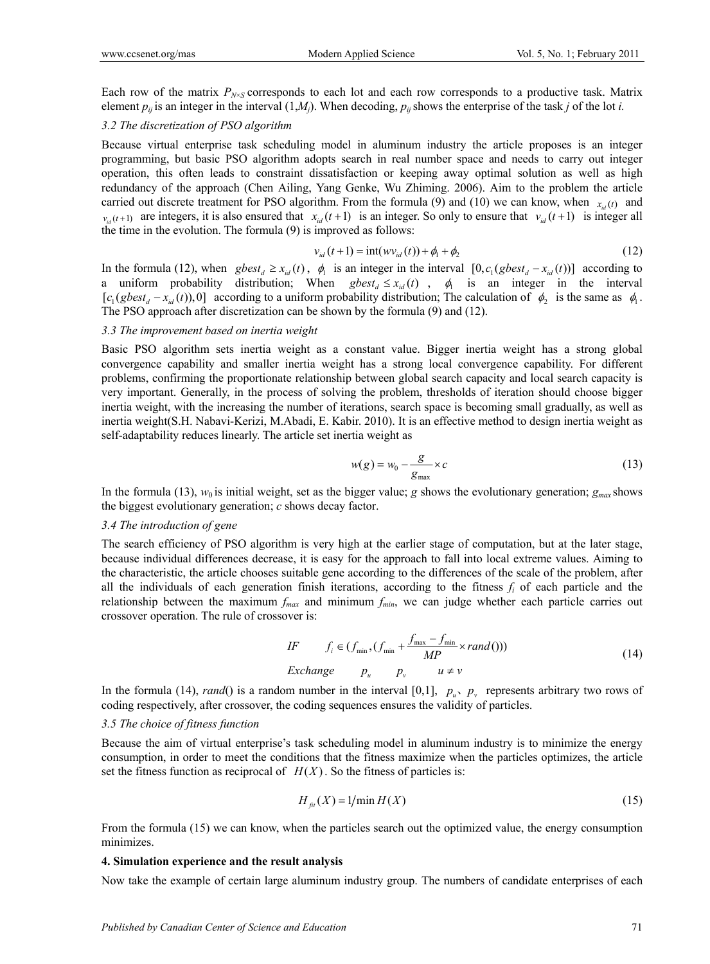Each row of the matrix  $P_{N\times S}$  corresponds to each lot and each row corresponds to a productive task. Matrix element  $p_{ij}$  is an integer in the interval  $(1,M_j)$ . When decoding,  $p_{ij}$  shows the enterprise of the task *j* of the lot *i*.

#### *3.2 The discretization of PSO algorithm*

Because virtual enterprise task scheduling model in aluminum industry the article proposes is an integer programming, but basic PSO algorithm adopts search in real number space and needs to carry out integer operation, this often leads to constraint dissatisfaction or keeping away optimal solution as well as high redundancy of the approach (Chen Ailing, Yang Genke, Wu Zhiming. 2006). Aim to the problem the article carried out discrete treatment for PSO algorithm. From the formula (9) and (10) we can know, when  $x_{i}(t)$  and  $v_{\nu}(t+1)$  are integers, it is also ensured that  $x_{\nu}(t+1)$  is an integer. So only to ensure that  $v_{\nu}(t+1)$  is integer all the time in the evolution. The formula (9) is improved as follows:

$$
v_{id}(t+1) = int(wv_{id}(t)) + \phi_1 + \phi_2
$$
 (12)

In the formula (12), when  $gbest_d \ge x_{id}(t)$ ,  $\phi_i$  is an integer in the interval  $[0, c_i(gbest_d - x_{id}(t))]$  according to a uniform probability distribution; When  $gbest_d \leq x_{id}(t)$ ,  $\phi_i$  is an integer in the interval  $[c_1(gbest_a - x_{ad}(t)),0]$  according to a uniform probability distribution; The calculation of  $\phi$ , is the same as  $\phi$ . The PSO approach after discretization can be shown by the formula (9) and (12).

#### *3.3 The improvement based on inertia weight*

Basic PSO algorithm sets inertia weight as a constant value. Bigger inertia weight has a strong global convergence capability and smaller inertia weight has a strong local convergence capability. For different problems, confirming the proportionate relationship between global search capacity and local search capacity is very important. Generally, in the process of solving the problem, thresholds of iteration should choose bigger inertia weight, with the increasing the number of iterations, search space is becoming small gradually, as well as inertia weight(S.H. Nabavi-Kerizi, M.Abadi, E. Kabir. 2010). It is an effective method to design inertia weight as self-adaptability reduces linearly. The article set inertia weight as

$$
w(g) = w_0 - \frac{g}{g_{\text{max}}} \times c \tag{13}
$$

In the formula (13),  $w_0$  is initial weight, set as the bigger value; *g* shows the evolutionary generation;  $g_{max}$  shows the biggest evolutionary generation; *c* shows decay factor.

#### *3.4 The introduction of gene*

The search efficiency of PSO algorithm is very high at the earlier stage of computation, but at the later stage, because individual differences decrease, it is easy for the approach to fall into local extreme values. Aiming to the characteristic, the article chooses suitable gene according to the differences of the scale of the problem, after all the individuals of each generation finish iterations, according to the fitness *fi* of each particle and the relationship between the maximum  $f_{max}$  and minimum  $f_{min}$ , we can judge whether each particle carries out crossover operation. The rule of crossover is:

IF 
$$
f_i \in (f_{\min}, (f_{\min} + \frac{f_{\max} - f_{\min}}{MP} \times rand)))
$$
  
Exchange  $p_u$   $p_v$   $u \neq v$  (14)

In the formula (14), *rand*() is a random number in the interval [0,1],  $p_u$ ,  $p_v$  represents arbitrary two rows of coding respectively, after crossover, the coding sequences ensures the validity of particles.

## *3.5 The choice of fitness function*

Because the aim of virtual enterprise's task scheduling model in aluminum industry is to minimize the energy consumption, in order to meet the conditions that the fitness maximize when the particles optimizes, the article set the fitness function as reciprocal of  $H(X)$ . So the fitness of particles is:

$$
H_{\text{fit}}(X) = 1/\min H(X) \tag{15}
$$

From the formula (15) we can know, when the particles search out the optimized value, the energy consumption minimizes.

### **4. Simulation experience and the result analysis**

Now take the example of certain large aluminum industry group. The numbers of candidate enterprises of each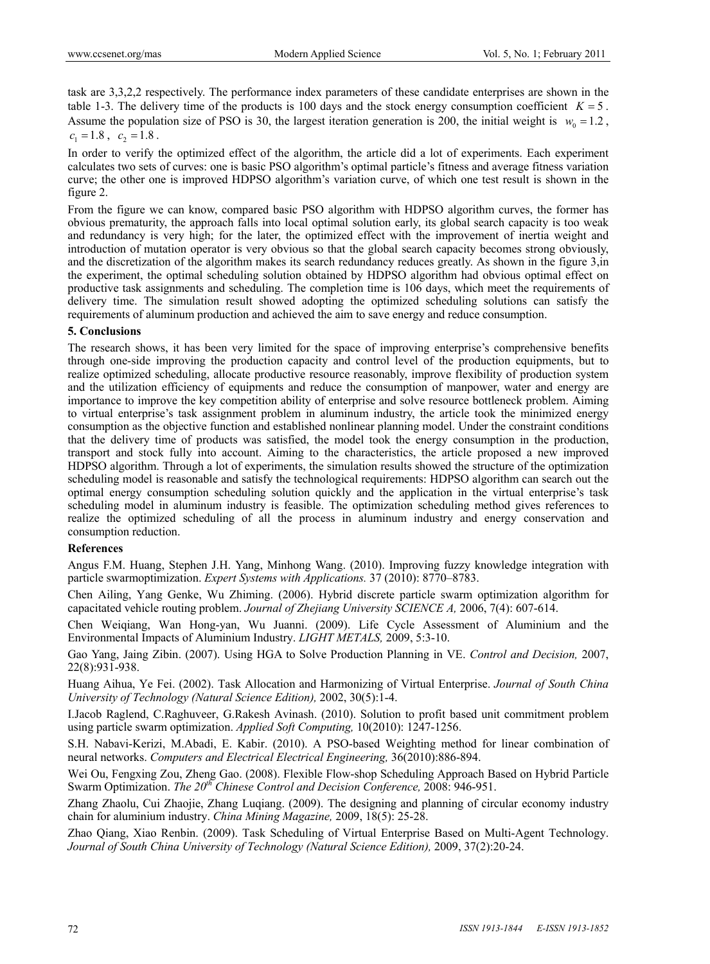task are 3,3,2,2 respectively. The performance index parameters of these candidate enterprises are shown in the table 1-3. The delivery time of the products is 100 days and the stock energy consumption coefficient  $K = 5$ . Assume the population size of PSO is 30, the largest iteration generation is 200, the initial weight is  $w_0 = 1.2$ ,  $c_1 = 1.8$ ,  $c_2 = 1.8$ .

In order to verify the optimized effect of the algorithm, the article did a lot of experiments. Each experiment calculates two sets of curves: one is basic PSO algorithm's optimal particle's fitness and average fitness variation curve; the other one is improved HDPSO algorithm's variation curve, of which one test result is shown in the figure 2.

From the figure we can know, compared basic PSO algorithm with HDPSO algorithm curves, the former has obvious prematurity, the approach falls into local optimal solution early, its global search capacity is too weak and redundancy is very high; for the later, the optimized effect with the improvement of inertia weight and introduction of mutation operator is very obvious so that the global search capacity becomes strong obviously, and the discretization of the algorithm makes its search redundancy reduces greatly. As shown in the figure 3,in the experiment, the optimal scheduling solution obtained by HDPSO algorithm had obvious optimal effect on productive task assignments and scheduling. The completion time is 106 days, which meet the requirements of delivery time. The simulation result showed adopting the optimized scheduling solutions can satisfy the requirements of aluminum production and achieved the aim to save energy and reduce consumption.

### **5. Conclusions**

The research shows, it has been very limited for the space of improving enterprise's comprehensive benefits through one-side improving the production capacity and control level of the production equipments, but to realize optimized scheduling, allocate productive resource reasonably, improve flexibility of production system and the utilization efficiency of equipments and reduce the consumption of manpower, water and energy are importance to improve the key competition ability of enterprise and solve resource bottleneck problem. Aiming to virtual enterprise's task assignment problem in aluminum industry, the article took the minimized energy consumption as the objective function and established nonlinear planning model. Under the constraint conditions that the delivery time of products was satisfied, the model took the energy consumption in the production, transport and stock fully into account. Aiming to the characteristics, the article proposed a new improved HDPSO algorithm. Through a lot of experiments, the simulation results showed the structure of the optimization scheduling model is reasonable and satisfy the technological requirements: HDPSO algorithm can search out the optimal energy consumption scheduling solution quickly and the application in the virtual enterprise's task scheduling model in aluminum industry is feasible. The optimization scheduling method gives references to realize the optimized scheduling of all the process in aluminum industry and energy conservation and consumption reduction.

#### **References**

Angus F.M. Huang, Stephen J.H. Yang, Minhong Wang. (2010). Improving fuzzy knowledge integration with particle swarmoptimization. *Expert Systems with Applications.* 37 (2010): 8770–8783.

Chen Ailing, Yang Genke, Wu Zhiming. (2006). Hybrid discrete particle swarm optimization algorithm for capacitated vehicle routing problem. *Journal of Zhejiang University SCIENCE A,* 2006, 7(4): 607-614.

Chen Weiqiang, Wan Hong-yan, Wu Juanni. (2009). Life Cycle Assessment of Aluminium and the Environmental Impacts of Aluminium Industry. *LIGHT METALS,* 2009, 5:3-10.

Gao Yang, Jaing Zibin. (2007). Using HGA to Solve Production Planning in VE. *Control and Decision,* 2007, 22(8):931-938.

Huang Aihua, Ye Fei. (2002). Task Allocation and Harmonizing of Virtual Enterprise. *Journal of South China University of Technology (Natural Science Edition),* 2002, 30(5):1-4.

I.Jacob Raglend, C.Raghuveer, G.Rakesh Avinash. (2010). Solution to profit based unit commitment problem using particle swarm optimization. *Applied Soft Computing,* 10(2010): 1247-1256.

S.H. Nabavi-Kerizi, M.Abadi, E. Kabir. (2010). A PSO-based Weighting method for linear combination of neural networks. *Computers and Electrical Electrical Engineering,* 36(2010):886-894.

Wei Ou, Fengxing Zou, Zheng Gao. (2008). Flexible Flow-shop Scheduling Approach Based on Hybrid Particle Swarm Optimization. *The 20th Chinese Control and Decision Conference,* 2008: 946-951.

Zhang Zhaolu, Cui Zhaojie, Zhang Luqiang. (2009). The designing and planning of circular economy industry chain for aluminium industry. *China Mining Magazine,* 2009, 18(5): 25-28.

Zhao Qiang, Xiao Renbin. (2009). Task Scheduling of Virtual Enterprise Based on Multi-Agent Technology. *Journal of South China University of Technology (Natural Science Edition),* 2009, 37(2):20-24.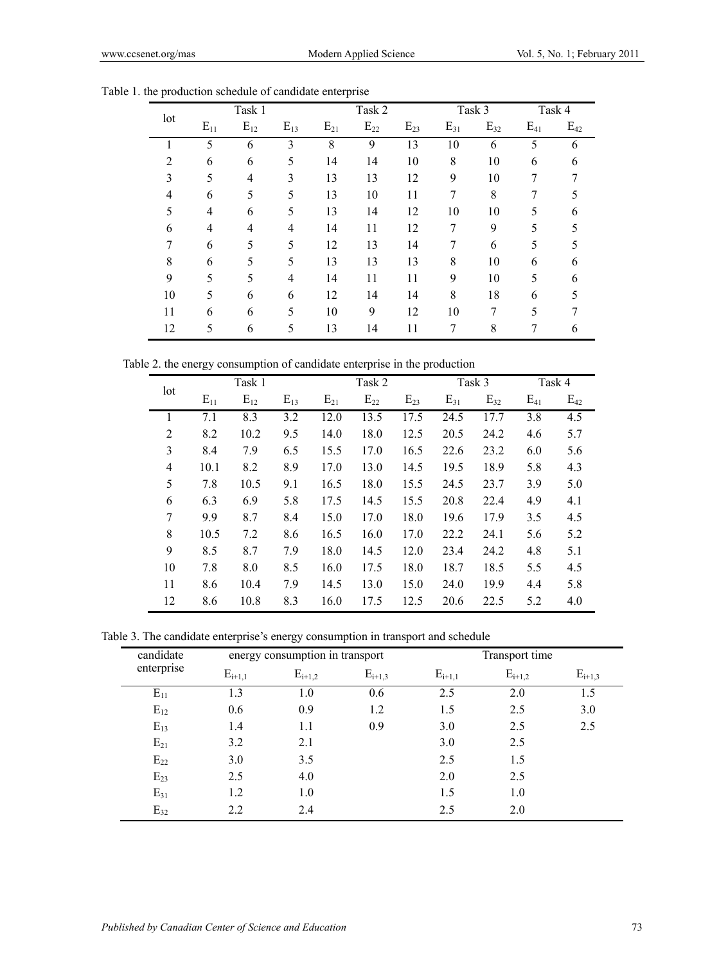| lot            | Task 1         |          |          | Task 2   |          |          | Task 3   |          | Task 4   |          |
|----------------|----------------|----------|----------|----------|----------|----------|----------|----------|----------|----------|
|                | $E_{11}$       | $E_{12}$ | $E_{13}$ | $E_{21}$ | $E_{22}$ | $E_{23}$ | $E_{31}$ | $E_{32}$ | $E_{41}$ | $E_{42}$ |
|                | 5              | 6        | 3        | 8        | 9        | 13       | 10       | 6        | 5        | 6        |
| $\mathfrak{D}$ | 6              | 6        | 5        | 14       | 14       | 10       | 8        | 10       | 6        | 6        |
| 3              | 5              | 4        | 3        | 13       | 13       | 12       | 9        | 10       | 7        |          |
| 4              | 6              | 5        | 5        | 13       | 10       | 11       | 7        | 8        | 7        |          |
| 5              | $\overline{4}$ | 6        | 5        | 13       | 14       | 12       | 10       | 10       | 5        | 6        |
| 6              | $\overline{4}$ | 4        | 4        | 14       | 11       | 12       | 7        | 9        | 5        |          |
| 7              | 6              | 5        | 5        | 12       | 13       | 14       | 7        | 6        | 5        | 5        |
| 8              | 6              | 5        | 5        | 13       | 13       | 13       | 8        | 10       | 6        | 6        |
| 9              | 5              | 5        | 4        | 14       | 11       | 11       | 9        | 10       | 5        | 6        |
| 10             | 5              | 6        | 6        | 12       | 14       | 14       | 8        | 18       | 6        | 5        |
| 11             | 6              | 6        | 5        | 10       | 9        | 12       | 10       | 7        | 5        |          |
| 12             | 5              | 6        | 5        | 13       | 14       | 11       | 7        | 8        | 7        | 6        |

Table 1. the production schedule of candidate enterprise

Table 2. the energy consumption of candidate enterprise in the production

| lot | Task 1   |          |          | Task 2   |          |          | Task 3   |          | Task 4   |          |
|-----|----------|----------|----------|----------|----------|----------|----------|----------|----------|----------|
|     | $E_{11}$ | $E_{12}$ | $E_{13}$ | $E_{21}$ | $E_{22}$ | $E_{23}$ | $E_{31}$ | $E_{32}$ | $E_{41}$ | $E_{42}$ |
|     | 7.1      | 8.3      | 3.2      | 12.0     | 13.5     | 17.5     | 24.5     | 17.7     | 3.8      | 4.5      |
| 2   | 8.2      | 10.2     | 9.5      | 14.0     | 18.0     | 12.5     | 20.5     | 24.2     | 4.6      | 5.7      |
| 3   | 8.4      | 7.9      | 6.5      | 15.5     | 17.0     | 16.5     | 22.6     | 23.2     | 6.0      | 5.6      |
| 4   | 10.1     | 8.2      | 8.9      | 17.0     | 13.0     | 14.5     | 19.5     | 18.9     | 5.8      | 4.3      |
| 5   | 7.8      | 10.5     | 9.1      | 16.5     | 18.0     | 15.5     | 24.5     | 23.7     | 3.9      | 5.0      |
| 6   | 6.3      | 6.9      | 5.8      | 17.5     | 14.5     | 15.5     | 20.8     | 22.4     | 4.9      | 4.1      |
| 7   | 9.9      | 8.7      | 8.4      | 15.0     | 17.0     | 18.0     | 19.6     | 17.9     | 3.5      | 4.5      |
| 8   | 10.5     | 7.2      | 8.6      | 16.5     | 16.0     | 17.0     | 22.2     | 24.1     | 5.6      | 5.2      |
| 9   | 8.5      | 8.7      | 7.9      | 18.0     | 14.5     | 12.0     | 23.4     | 24.2     | 4.8      | 5.1      |
| 10  | 7.8      | 8.0      | 8.5      | 16.0     | 17.5     | 18.0     | 18.7     | 18.5     | 5.5      | 4.5      |
| 11  | 8.6      | 10.4     | 7.9      | 14.5     | 13.0     | 15.0     | 24.0     | 19.9     | 4.4      | 5.8      |
| 12  | 8.6      | 10.8     | 8.3      | 16.0     | 17.5     | 12.5     | 20.6     | 22.5     | 5.2      | 4.0      |

Table 3. The candidate enterprise's energy consumption in transport and schedule

| candidate  |             | energy consumption in transport |             | Transport time |             |             |  |
|------------|-------------|---------------------------------|-------------|----------------|-------------|-------------|--|
| enterprise | $E_{i+1,1}$ | $E_{i+1,2}$                     | $E_{i+1,3}$ | $E_{i+1,1}$    | $E_{i+1,2}$ | $E_{i+1,3}$ |  |
| $E_{11}$   | 1.3         | 1.0                             | 0.6         | 2.5            | 2.0         | 1.5         |  |
| $E_{12}$   | 0.6         | 0.9                             | 1.2         | 1.5            | 2.5         | 3.0         |  |
| $E_{13}$   | 1.4         | 1.1                             | 0.9         | 3.0            | 2.5         | 2.5         |  |
| $E_{21}$   | 3.2         | 2.1                             |             | 3.0            | 2.5         |             |  |
| $E_{22}$   | 3.0         | 3.5                             |             | 2.5            | 1.5         |             |  |
| $E_{23}$   | 2.5         | 4.0                             |             | 2.0            | 2.5         |             |  |
| $E_{31}$   | 1.2         | 1.0                             |             | 1.5            | 1.0         |             |  |
| $E_{32}$   | 2.2         | 2.4                             |             | 2.5            | 2.0         |             |  |